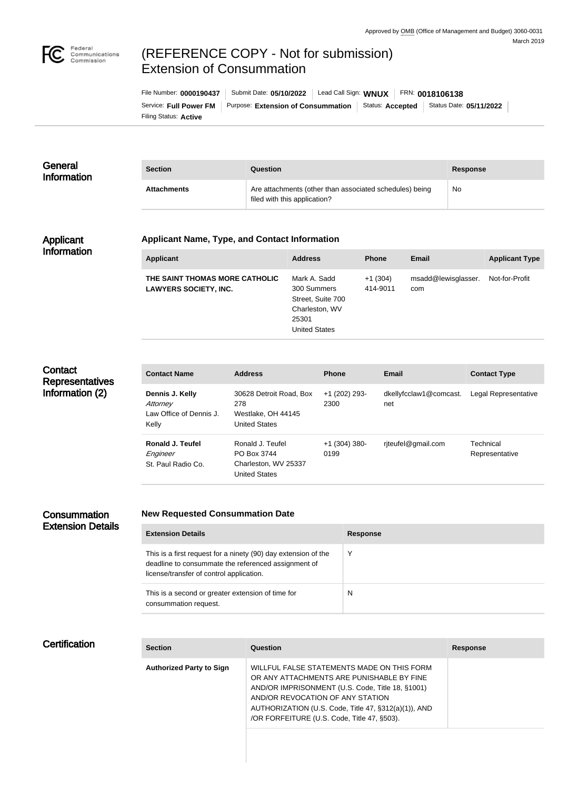

# (REFERENCE COPY - Not for submission) Extension of Consummation

Filing Status: **Active** Service: Full Power FM | Purpose: Extension of Consummation | Status: Accepted | Status Date: 05/11/2022 | File Number: **0000190437** Submit Date: **05/10/2022** Lead Call Sign: **WNUX** FRN: **0018106138**

| General<br><b>Information</b> | <b>Section</b>     | Question                                                                                | <b>Response</b> |
|-------------------------------|--------------------|-----------------------------------------------------------------------------------------|-----------------|
|                               | <b>Attachments</b> | Are attachments (other than associated schedules) being<br>filed with this application? | No              |

### Applicant Information

#### **Applicant Name, Type, and Contact Information**

| Applicant                                                      | <b>Address</b>                                                                                      | <b>Phone</b>          | <b>Email</b>               | <b>Applicant Type</b> |
|----------------------------------------------------------------|-----------------------------------------------------------------------------------------------------|-----------------------|----------------------------|-----------------------|
| THE SAINT THOMAS MORE CATHOLIC<br><b>LAWYERS SOCIETY, INC.</b> | Mark A. Sadd<br>300 Summers<br>Street, Suite 700<br>Charleston, WV<br>25301<br><b>United States</b> | $+1(304)$<br>414-9011 | msadd@lewisglasser.<br>com | Not-for-Profit        |

# **Contact Representatives** Information (2)

| <b>Contact Name</b>                                             | <b>Address</b>                                                                  | <b>Phone</b>            | Email                         | <b>Contact Type</b>         |
|-----------------------------------------------------------------|---------------------------------------------------------------------------------|-------------------------|-------------------------------|-----------------------------|
| Dennis J. Kelly<br>Attorney<br>Law Office of Dennis J.<br>Kelly | 30628 Detroit Road, Box<br>278<br>Westlake, OH 44145<br>United States           | +1 (202) 293-<br>2300   | dkellyfcclaw1@comcast.<br>net | Legal Representative        |
| Ronald J. Teufel<br>Engineer<br>St. Paul Radio Co.              | Ronald J. Teufel<br>PO Box 3744<br>Charleston, WV 25337<br><b>United States</b> | $+1$ (304) 380-<br>0199 | riteufel@gmail.com            | Technical<br>Representative |

## **Consummation** Extension Details

#### **New Requested Consummation Date**

| <b>Extension Details</b>                                                                                                                                          | <b>Response</b> |
|-------------------------------------------------------------------------------------------------------------------------------------------------------------------|-----------------|
| This is a first request for a ninety (90) day extension of the<br>deadline to consummate the referenced assignment of<br>license/transfer of control application. |                 |
| This is a second or greater extension of time for<br>consummation request.                                                                                        | N               |

| Certification | <b>Section</b>                  | <b>Question</b>                                                                                                                                                                                                                                                                        | <b>Response</b> |
|---------------|---------------------------------|----------------------------------------------------------------------------------------------------------------------------------------------------------------------------------------------------------------------------------------------------------------------------------------|-----------------|
|               | <b>Authorized Party to Sign</b> | WILLFUL FALSE STATEMENTS MADE ON THIS FORM<br>OR ANY ATTACHMENTS ARE PUNISHABLE BY FINE<br>AND/OR IMPRISONMENT (U.S. Code, Title 18, §1001)<br>AND/OR REVOCATION OF ANY STATION<br>AUTHORIZATION (U.S. Code, Title 47, §312(a)(1)), AND<br>/OR FORFEITURE (U.S. Code, Title 47, §503). |                 |